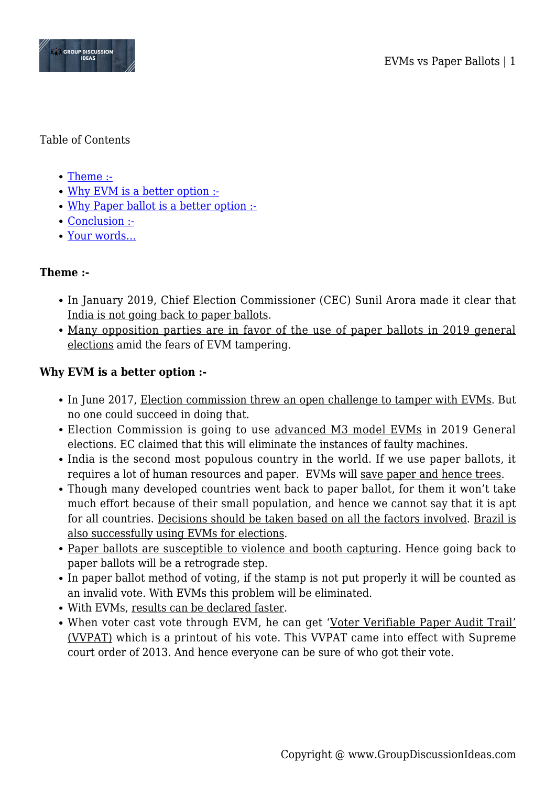

#### Table of Contents

- [Theme :-](#page--1-0)
- [Why EVM is a better option :-](#page--1-0)
- [Why Paper ballot is a better option :-](#page--1-0)
- [Conclusion :-](#page--1-0)
- [Your words…](#page--1-0)

## **Theme :-**

- In January 2019, Chief Election Commissioner (CEC) Sunil Arora made it clear that India is not going back to paper ballots.
- Many opposition parties are in favor of the use of paper ballots in 2019 general elections amid the fears of EVM tampering.

# **Why EVM is a better option :-**

- In June 2017, Election commission threw an open challenge to tamper with EVMs. But no one could succeed in doing that.
- Election Commission is going to use advanced M3 model EVMs in 2019 General elections. EC claimed that this will eliminate the instances of faulty machines.
- India is the second most populous country in the world. If we use paper ballots, it requires a lot of human resources and paper. EVMs will save paper and hence trees.
- Though many developed countries went back to paper ballot, for them it won't take much effort because of their small population, and hence we cannot say that it is apt for all countries. Decisions should be taken based on all the factors involved. Brazil is also successfully using EVMs for elections.
- Paper ballots are susceptible to violence and booth capturing. Hence going back to paper ballots will be a retrograde step.
- In paper ballot method of voting, if the stamp is not put properly it will be counted as an invalid vote. With EVMs this problem will be eliminated.
- With EVMs, results can be declared faster.
- When voter cast vote through EVM, he can get 'Voter Verifiable Paper Audit Trail' (VVPAT) which is a printout of his vote. This VVPAT came into effect with Supreme court order of 2013. And hence everyone can be sure of who got their vote.